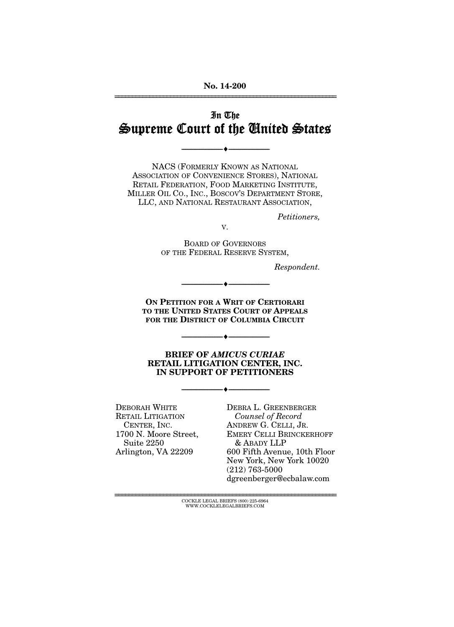# In The Supreme Court of the United States

--------------------------------- ---------------------------------

NACS (FORMERLY KNOWN AS NATIONAL ASSOCIATION OF CONVENIENCE STORES), NATIONAL RETAIL FEDERATION, FOOD MARKETING INSTITUTE, MILLER OIL CO., INC., BOSCOV'S DEPARTMENT STORE, LLC, AND NATIONAL RESTAURANT ASSOCIATION,

*Petitioners,* 

V.

BOARD OF GOVERNORS OF THE FEDERAL RESERVE SYSTEM,

*Respondent.* 

**ON PETITION FOR A WRIT OF CERTIORARI TO THE UNITED STATES COURT OF APPEALS FOR THE DISTRICT OF COLUMBIA CIRCUIT**

--------------------------------- ---------------------------------

--------------------------------- ---------------------------------

#### **BRIEF OF** *AMICUS CURIAE* **RETAIL LITIGATION CENTER, INC. IN SUPPORT OF PETITIONERS**

--------------------------------- ---------------------------------

DEBORAH WHITE RETAIL LITIGATION CENTER, INC. 1700 N. Moore Street, Suite 2250 Arlington, VA 22209

DEBRA L. GREENBERGER *Counsel of Record* ANDREW G. CELLI, JR. EMERY CELLI BRINCKERHOFF & ABADY LLP 600 Fifth Avenue, 10th Floor New York, New York 10020 (212) 763-5000 dgreenberger@ecbalaw.com

 ${ \rm COCKLE}$  LEGAL BRIEFS (800) 225-6964 WWW.COCKLELEGALBRIEFS.COM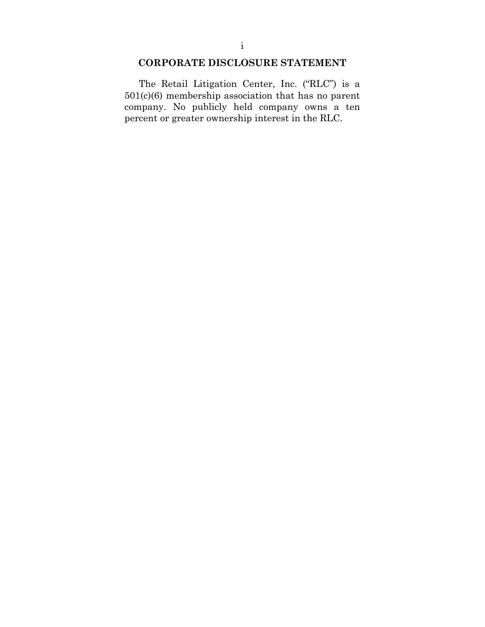### **CORPORATE DISCLOSURE STATEMENT**

The Retail Litigation Center, Inc. ("RLC") is a 501(c)(6) membership association that has no parent company. No publicly held company owns a ten percent or greater ownership interest in the RLC.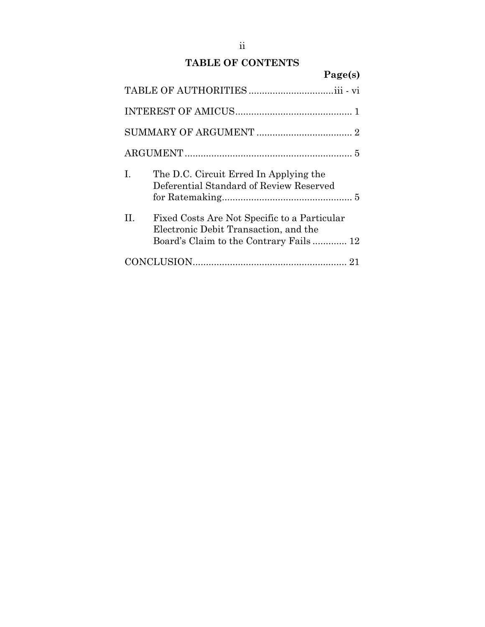## **TABLE OF CONTENTS**

|    |                                                                                                                                 | Page(s) |
|----|---------------------------------------------------------------------------------------------------------------------------------|---------|
|    | TABLE OF AUTHORITIESiii - vi                                                                                                    |         |
|    |                                                                                                                                 |         |
|    |                                                                                                                                 |         |
|    |                                                                                                                                 |         |
| I. | The D.C. Circuit Erred In Applying the<br>Deferential Standard of Review Reserved                                               |         |
| H. | Fixed Costs Are Not Specific to a Particular<br>Electronic Debit Transaction, and the<br>Board's Claim to the Contrary Fails 12 |         |
|    |                                                                                                                                 |         |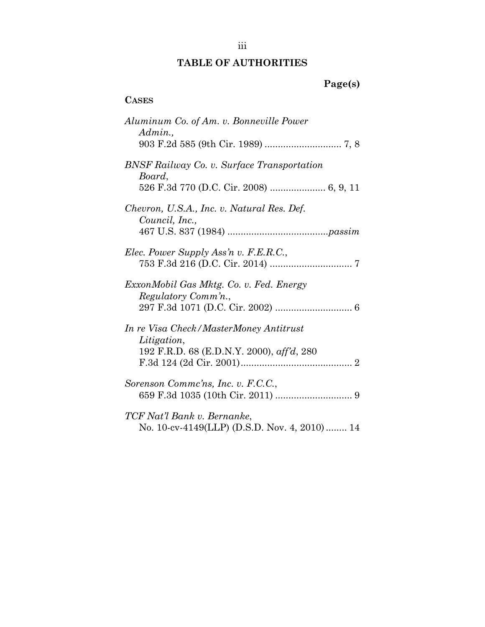### **TABLE OF AUTHORITIES**

## **Page(s)**

### **CASES**

| Aluminum Co. of Am. v. Bonneville Power<br>Admin.,                           |
|------------------------------------------------------------------------------|
|                                                                              |
| <b>BNSF Railway Co. v. Surface Transportation</b><br>Board,                  |
| 526 F.3d 770 (D.C. Cir. 2008)  6, 9, 11                                      |
| Chevron, U.S.A., Inc. v. Natural Res. Def.<br>Council, Inc.,                 |
|                                                                              |
| Elec. Power Supply Ass'n v. F.E.R.C.,                                        |
| ExxonMobil Gas Mktg. Co. v. Fed. Energy<br>Regulatory Comm'n.,               |
| In re Visa Check/MasterMoney Antitrust<br>Litigation,                        |
| 192 F.R.D. 68 (E.D.N.Y. 2000), aff'd, 280                                    |
| Sorenson Commc'ns, Inc. v. F.C.C.,                                           |
| TCF Nat'l Bank v. Bernanke,<br>No. 10-cv-4149(LLP) (D.S.D. Nov. 4, 2010)  14 |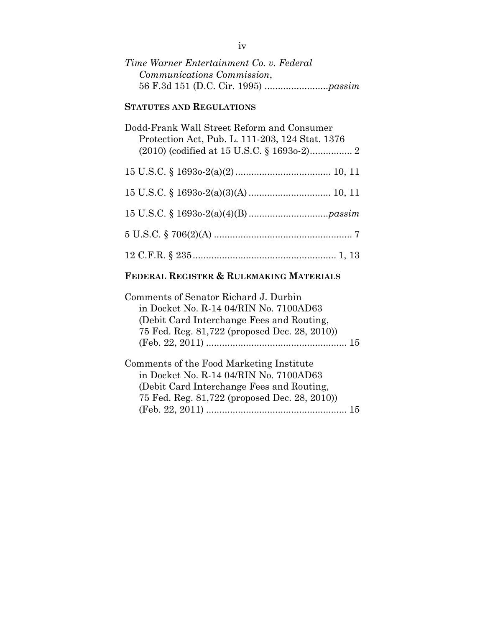| Time Warner Entertainment Co. v. Federal |  |
|------------------------------------------|--|
| Communications Commission,               |  |
|                                          |  |

## **STATUTES AND REGULATIONS**

| Dodd-Frank Wall Street Reform and Consumer<br>Protection Act, Pub. L. 111-203, 124 Stat. 1376 |
|-----------------------------------------------------------------------------------------------|
|                                                                                               |
|                                                                                               |
|                                                                                               |
|                                                                                               |
|                                                                                               |

## **FEDERAL REGISTER & RULEMAKING MATERIALS**

| Comments of Senator Richard J. Durbin         |    |
|-----------------------------------------------|----|
| in Docket No. R-14 04/RIN No. 7100AD63        |    |
| (Debit Card Interchange Fees and Routing,     |    |
| 75 Fed. Reg. 81,722 (proposed Dec. 28, 2010)) |    |
|                                               |    |
|                                               |    |
| Comments of the Food Marketing Institute      |    |
| in Docket No. R-14 04/RIN No. 7100AD63        |    |
| (Debit Card Interchange Fees and Routing,     |    |
| 75 Fed. Reg. 81,722 (proposed Dec. 28, 2010)) |    |
|                                               | 15 |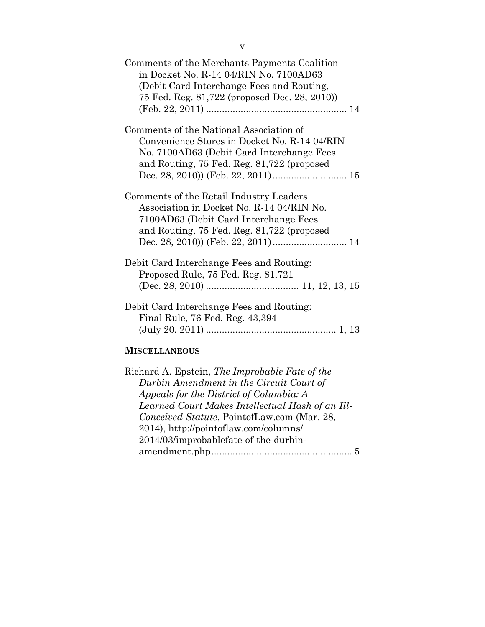| Comments of the Merchants Payments Coalition<br>in Docket No. R-14 04/RIN No. 7100AD63<br>(Debit Card Interchange Fees and Routing,<br>75 Fed. Reg. 81,722 (proposed Dec. 28, 2010)) |
|--------------------------------------------------------------------------------------------------------------------------------------------------------------------------------------|
| Comments of the National Association of                                                                                                                                              |
| Convenience Stores in Docket No. R-14 04/RIN                                                                                                                                         |
| No. 7100AD63 (Debit Card Interchange Fees                                                                                                                                            |
| and Routing, 75 Fed. Reg. 81,722 (proposed                                                                                                                                           |
|                                                                                                                                                                                      |
| Comments of the Retail Industry Leaders<br>Association in Docket No. R-14 04/RIN No.<br>7100AD63 (Debit Card Interchange Fees<br>and Routing, 75 Fed. Reg. 81,722 (proposed          |
| Debit Card Interchange Fees and Routing:                                                                                                                                             |
| Proposed Rule, 75 Fed. Reg. 81,721                                                                                                                                                   |
|                                                                                                                                                                                      |
| Debit Card Interchange Fees and Routing:                                                                                                                                             |
| Final Rule, 76 Fed. Reg. 43,394                                                                                                                                                      |
|                                                                                                                                                                                      |
| <b>MISCELLANEOUS</b>                                                                                                                                                                 |

| Richard A. Epstein, <i>The Improbable Fate of the</i> |
|-------------------------------------------------------|
| Durbin Amendment in the Circuit Court of              |
| Appeals for the District of Columbia: A               |
| Learned Court Makes Intellectual Hash of an Ill-      |
| Conceived Statute, PointofLaw.com (Mar. 28,           |
| 2014), http://pointoflaw.com/columns/                 |
| 2014/03/improbablefate-of-the-durbin-                 |
|                                                       |
|                                                       |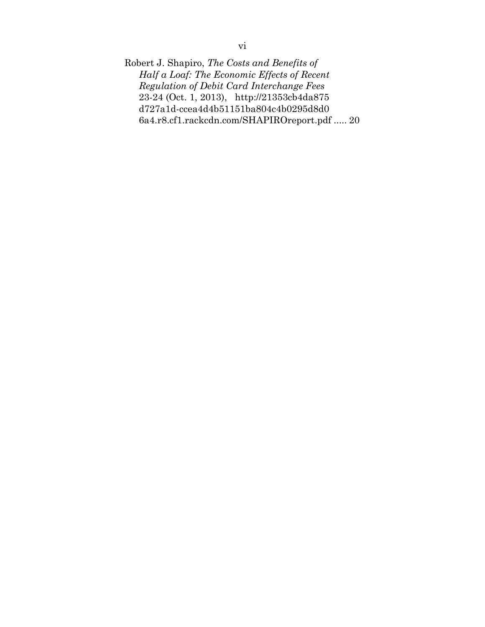Robert J. Shapiro, *The Costs and Benefits of Half a Loaf: The Economic Effects of Recent Regulation of Debit Card Interchange Fees* 23-24 (Oct. 1, 2013), http://21353cb4da875 d727a1d-ccea4d4b51151ba804c4b0295d8d0 6a4.r8.cf1.rackcdn.com/SHAPIROreport.pdf ..... 20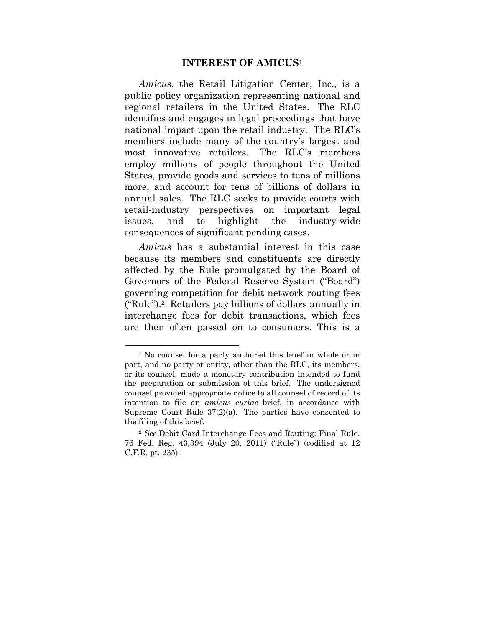#### **INTEREST OF AMICUS1**

*Amicus*, the Retail Litigation Center, Inc., is a public policy organization representing national and regional retailers in the United States. The RLC identifies and engages in legal proceedings that have national impact upon the retail industry. The RLC's members include many of the country's largest and most innovative retailers. The RLC's members employ millions of people throughout the United States, provide goods and services to tens of millions more, and account for tens of billions of dollars in annual sales. The RLC seeks to provide courts with retail-industry perspectives on important legal issues, and to highlight the industry-wide consequences of significant pending cases.

*Amicus* has a substantial interest in this case because its members and constituents are directly affected by the Rule promulgated by the Board of Governors of the Federal Reserve System ("Board") governing competition for debit network routing fees ("Rule").2 Retailers pay billions of dollars annually in interchange fees for debit transactions, which fees are then often passed on to consumers. This is a

<sup>&</sup>lt;sup>1</sup> No counsel for a party authored this brief in whole or in part, and no party or entity, other than the RLC, its members, or its counsel, made a monetary contribution intended to fund the preparation or submission of this brief. The undersigned counsel provided appropriate notice to all counsel of record of its intention to file an *amicus curiae* brief, in accordance with Supreme Court Rule 37(2)(a). The parties have consented to the filing of this brief.

<sup>2</sup> *See* Debit Card Interchange Fees and Routing: Final Rule, 76 Fed. Reg. 43,394 (July 20, 2011) ("Rule") (codified at 12 C.F.R. pt. 235).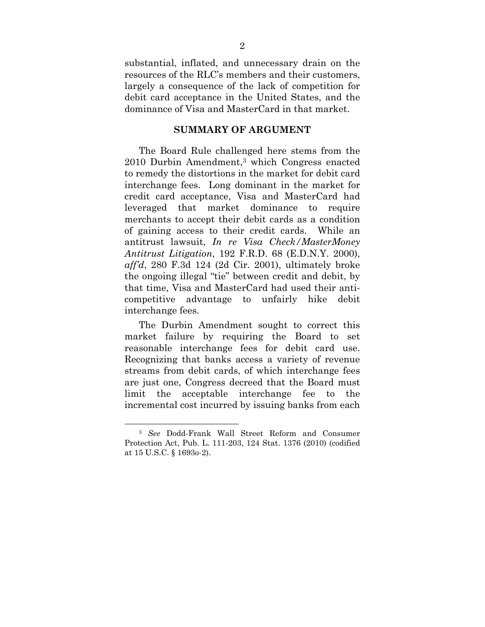substantial, inflated, and unnecessary drain on the resources of the RLC's members and their customers, largely a consequence of the lack of competition for debit card acceptance in the United States, and the dominance of Visa and MasterCard in that market.

#### **SUMMARY OF ARGUMENT**

The Board Rule challenged here stems from the 2010 Durbin Amendment,3 which Congress enacted to remedy the distortions in the market for debit card interchange fees. Long dominant in the market for credit card acceptance, Visa and MasterCard had leveraged that market dominance to require merchants to accept their debit cards as a condition of gaining access to their credit cards. While an antitrust lawsuit, *In re Visa Check/MasterMoney Antitrust Litigation*, 192 F.R.D. 68 (E.D.N.Y. 2000), *aff'd*, 280 F.3d 124 (2d Cir. 2001), ultimately broke the ongoing illegal "tie" between credit and debit, by that time, Visa and MasterCard had used their anticompetitive advantage to unfairly hike debit interchange fees.

The Durbin Amendment sought to correct this market failure by requiring the Board to set reasonable interchange fees for debit card use. Recognizing that banks access a variety of revenue streams from debit cards, of which interchange fees are just one, Congress decreed that the Board must limit the acceptable interchange fee to the incremental cost incurred by issuing banks from each

<sup>3</sup> *See* Dodd-Frank Wall Street Reform and Consumer Protection Act, Pub. L. 111-203, 124 Stat. 1376 (2010) (codified at 15 U.S.C. § 1693o-2).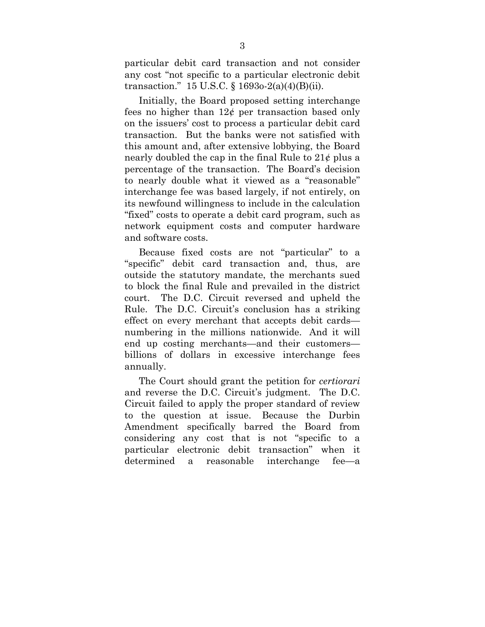particular debit card transaction and not consider any cost "not specific to a particular electronic debit transaction." 15 U.S.C. § 1693o-2(a)(4)(B)(ii).

Initially, the Board proposed setting interchange fees no higher than  $12\ell$  per transaction based only on the issuers' cost to process a particular debit card transaction. But the banks were not satisfied with this amount and, after extensive lobbying, the Board nearly doubled the cap in the final Rule to  $21¢$  plus a percentage of the transaction. The Board's decision to nearly double what it viewed as a "reasonable" interchange fee was based largely, if not entirely, on its newfound willingness to include in the calculation "fixed" costs to operate a debit card program, such as network equipment costs and computer hardware and software costs.

Because fixed costs are not "particular" to a "specific" debit card transaction and, thus, are outside the statutory mandate, the merchants sued to block the final Rule and prevailed in the district court. The D.C. Circuit reversed and upheld the Rule. The D.C. Circuit's conclusion has a striking effect on every merchant that accepts debit cards numbering in the millions nationwide.And it will end up costing merchants—and their customers billions of dollars in excessive interchange fees annually.

The Court should grant the petition for *certiorari* and reverse the D.C. Circuit's judgment. The D.C. Circuit failed to apply the proper standard of review to the question at issue. Because the Durbin Amendment specifically barred the Board from considering any cost that is not "specific to a particular electronic debit transaction" when it determined a reasonable interchange fee—a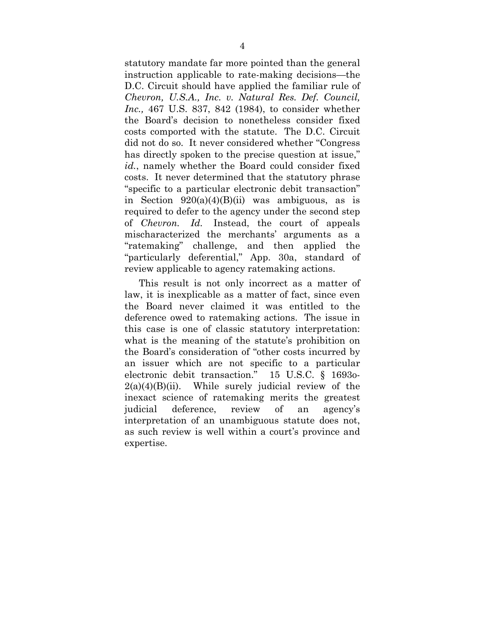statutory mandate far more pointed than the general instruction applicable to rate-making decisions—the D.C. Circuit should have applied the familiar rule of *Chevron, U.S.A., Inc. v. Natural Res. Def. Council, Inc.,* 467 U.S. 837, 842 (1984), to consider whether the Board's decision to nonetheless consider fixed costs comported with the statute. The D.C. Circuit did not do so. It never considered whether "Congress has directly spoken to the precise question at issue," *id.*, namely whether the Board could consider fixed costs. It never determined that the statutory phrase "specific to a particular electronic debit transaction" in Section  $920(a)(4)(B)(ii)$  was ambiguous, as is required to defer to the agency under the second step of *Chevron. Id.* Instead, the court of appeals mischaracterized the merchants' arguments as a "ratemaking" challenge, and then applied the "particularly deferential," App. 30a, standard of review applicable to agency ratemaking actions.

This result is not only incorrect as a matter of law, it is inexplicable as a matter of fact, since even the Board never claimed it was entitled to the deference owed to ratemaking actions. The issue in this case is one of classic statutory interpretation: what is the meaning of the statute's prohibition on the Board's consideration of "other costs incurred by an issuer which are not specific to a particular electronic debit transaction." 15 U.S.C. § 1693o- $2(a)(4)(B)(ii)$ . While surely judicial review of the inexact science of ratemaking merits the greatest judicial deference, review of an agency's interpretation of an unambiguous statute does not, as such review is well within a court's province and expertise.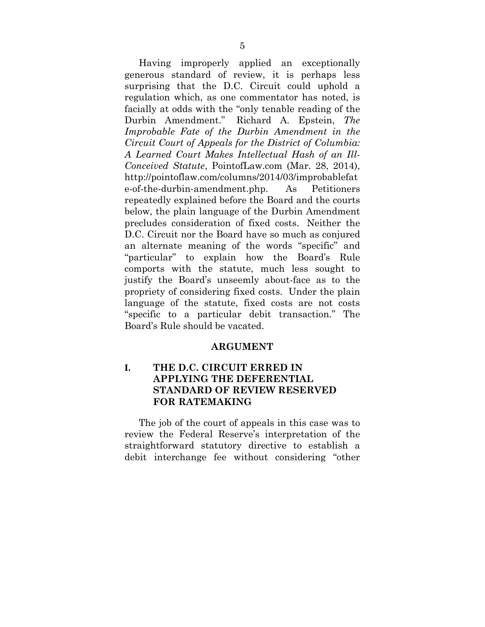Having improperly applied an exceptionally generous standard of review, it is perhaps less surprising that the D.C. Circuit could uphold a regulation which, as one commentator has noted, is facially at odds with the "only tenable reading of the Durbin Amendment." Richard A. Epstein, *The Improbable Fate of the Durbin Amendment in the Circuit Court of Appeals for the District of Columbia: A Learned Court Makes Intellectual Hash of an Ill-Conceived Statute*, PointofLaw.com (Mar. 28, 2014), http://pointoflaw.com/columns/2014/03/improbablefat e-of-the-durbin-amendment.php. As Petitioners repeatedly explained before the Board and the courts below, the plain language of the Durbin Amendment precludes consideration of fixed costs. Neither the D.C. Circuit nor the Board have so much as conjured an alternate meaning of the words "specific" and "particular" to explain how the Board's Rule comports with the statute, much less sought to justify the Board's unseemly about-face as to the propriety of considering fixed costs. Under the plain language of the statute, fixed costs are not costs "specific to a particular debit transaction." The Board's Rule should be vacated.

#### **ARGUMENT**

### **I. THE D.C. CIRCUIT ERRED IN APPLYING THE DEFERENTIAL STANDARD OF REVIEW RESERVED FOR RATEMAKING**

The job of the court of appeals in this case was to review the Federal Reserve's interpretation of the straightforward statutory directive to establish a debit interchange fee without considering "other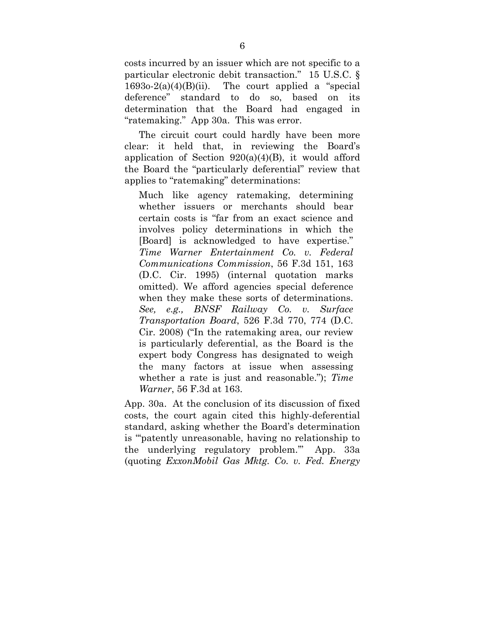costs incurred by an issuer which are not specific to a particular electronic debit transaction." 15 U.S.C. §  $1693o-2(a)(4)(B)(ii)$ . The court applied a "special deference" standard to do so, based on its determination that the Board had engaged in "ratemaking." App 30a. This was error.

The circuit court could hardly have been more clear: it held that, in reviewing the Board's application of Section  $920(a)(4)(B)$ , it would afford the Board the "particularly deferential" review that applies to "ratemaking" determinations:

Much like agency ratemaking, determining whether issuers or merchants should bear certain costs is "far from an exact science and involves policy determinations in which the [Board] is acknowledged to have expertise." *Time Warner Entertainment Co. v. Federal Communications Commission*, 56 F.3d 151, 163 (D.C. Cir. 1995) (internal quotation marks omitted). We afford agencies special deference when they make these sorts of determinations. *See, e.g., BNSF Railway Co. v. Surface Transportation Board*, 526 F.3d 770, 774 (D.C. Cir. 2008) ("In the ratemaking area, our review is particularly deferential, as the Board is the expert body Congress has designated to weigh the many factors at issue when assessing whether a rate is just and reasonable."); *Time Warner*, 56 F.3d at 163.

App. 30a. At the conclusion of its discussion of fixed costs, the court again cited this highly-deferential standard, asking whether the Board's determination is "'patently unreasonable, having no relationship to the underlying regulatory problem.'" App. 33a (quoting *ExxonMobil Gas Mktg. Co. v. Fed. Energy*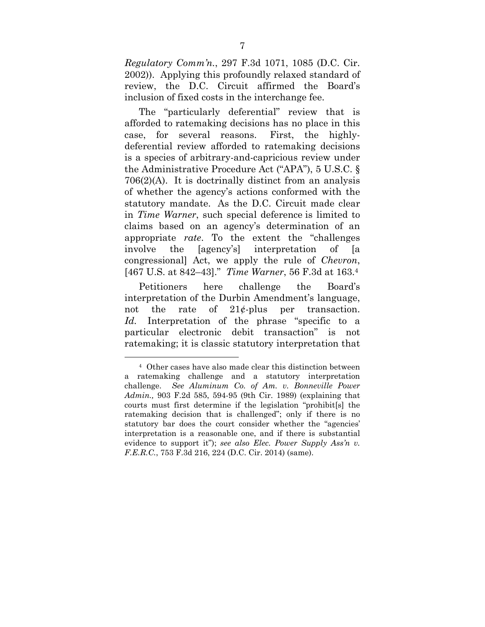*Regulatory Comm'n.*, 297 F.3d 1071, 1085 (D.C. Cir. 2002)). Applying this profoundly relaxed standard of review, the D.C. Circuit affirmed the Board's inclusion of fixed costs in the interchange fee.

The "particularly deferential" review that is afforded to ratemaking decisions has no place in this case, for several reasons. First, the highlydeferential review afforded to ratemaking decisions is a species of arbitrary-and-capricious review under the Administrative Procedure Act ("APA"), 5 U.S.C. § 706(2)(A). It is doctrinally distinct from an analysis of whether the agency's actions conformed with the statutory mandate. As the D.C. Circuit made clear in *Time Warner*, such special deference is limited to claims based on an agency's determination of an appropriate *rate*. To the extent the "challenges involve the [agency's] interpretation of [a congressional] Act, we apply the rule of *Chevron*, [467 U.S. at 842–43]." *Time Warner*, 56 F.3d at 163.4

Petitioners here challenge the Board's interpretation of the Durbin Amendment's language, not the rate of  $21\psi$ -plus per transaction. *Id.* Interpretation of the phrase "specific to a particular electronic debit transaction" is not ratemaking; it is classic statutory interpretation that

<sup>4</sup> Other cases have also made clear this distinction between a ratemaking challenge and a statutory interpretation challenge. *See Aluminum Co. of Am. v. Bonneville Power Admin.,* 903 F.2d 585, 594-95 (9th Cir. 1989) (explaining that courts must first determine if the legislation "prohibit[s] the ratemaking decision that is challenged"; only if there is no statutory bar does the court consider whether the "agencies' interpretation is a reasonable one, and if there is substantial evidence to support it"); *see also Elec. Power Supply Ass'n v. F.E.R.C.*, 753 F.3d 216, 224 (D.C. Cir. 2014) (same).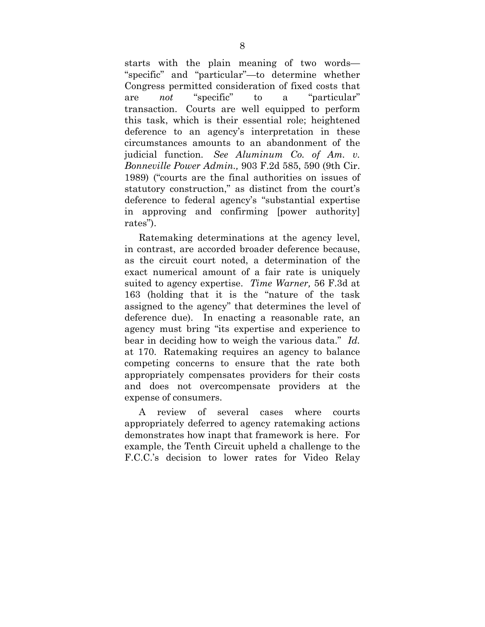starts with the plain meaning of two words— "specific" and "particular"—to determine whether Congress permitted consideration of fixed costs that are *not* "specific" to a "particular" transaction. Courts are well equipped to perform this task, which is their essential role; heightened deference to an agency's interpretation in these circumstances amounts to an abandonment of the judicial function. *See Aluminum Co. of Am. v. Bonneville Power Admin.,* 903 F.2d 585, 590 (9th Cir. 1989) ("courts are the final authorities on issues of statutory construction," as distinct from the court's deference to federal agency's "substantial expertise in approving and confirming [power authority] rates").

Ratemaking determinations at the agency level, in contrast, are accorded broader deference because, as the circuit court noted, a determination of the exact numerical amount of a fair rate is uniquely suited to agency expertise. *Time Warner,* 56 F.3d at 163 (holding that it is the "nature of the task assigned to the agency" that determines the level of deference due). In enacting a reasonable rate, an agency must bring "its expertise and experience to bear in deciding how to weigh the various data." *Id.*  at 170. Ratemaking requires an agency to balance competing concerns to ensure that the rate both appropriately compensates providers for their costs and does not overcompensate providers at the expense of consumers.

A review of several cases where courts appropriately deferred to agency ratemaking actions demonstrates how inapt that framework is here. For example, the Tenth Circuit upheld a challenge to the F.C.C.'s decision to lower rates for Video Relay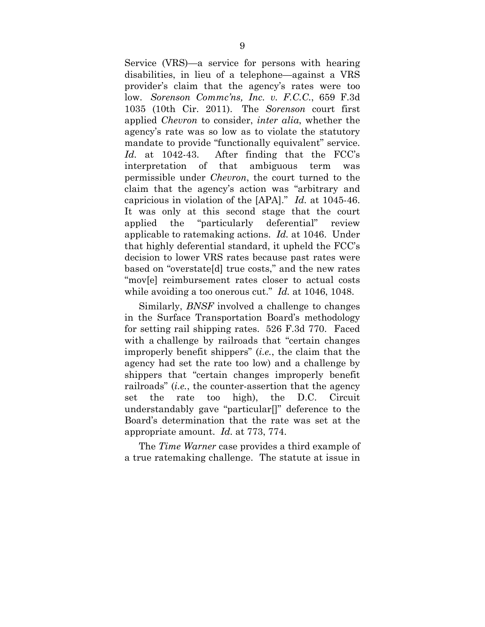Service (VRS)—a service for persons with hearing disabilities, in lieu of a telephone—against a VRS provider's claim that the agency's rates were too low. *Sorenson Commc'ns, Inc. v. F.C.C.*, 659 F.3d 1035 (10th Cir. 2011). The *Sorenson* court first applied *Chevron* to consider, *inter alia*, whether the agency's rate was so low as to violate the statutory mandate to provide "functionally equivalent" service. *Id.* at 1042-43. After finding that the FCC's interpretation of that ambiguous term was permissible under *Chevron*, the court turned to the claim that the agency's action was "arbitrary and capricious in violation of the [APA]." *Id.* at 1045-46. It was only at this second stage that the court applied the "particularly deferential" review applicable to ratemaking actions. *Id.* at 1046. Under that highly deferential standard, it upheld the FCC's decision to lower VRS rates because past rates were based on "overstate[d] true costs," and the new rates "mov[e] reimbursement rates closer to actual costs while avoiding a too onerous cut." *Id.* at 1046, 1048.

Similarly, *BNSF* involved a challenge to changes in the Surface Transportation Board's methodology for setting rail shipping rates. 526 F.3d 770. Faced with a challenge by railroads that "certain changes" improperly benefit shippers" (*i.e.*, the claim that the agency had set the rate too low) and a challenge by shippers that "certain changes improperly benefit railroads" (*i.e.*, the counter-assertion that the agency set the rate too high), the D.C. Circuit understandably gave "particular[]" deference to the Board's determination that the rate was set at the appropriate amount. *Id.* at 773, 774.

The *Time Warner* case provides a third example of a true ratemaking challenge. The statute at issue in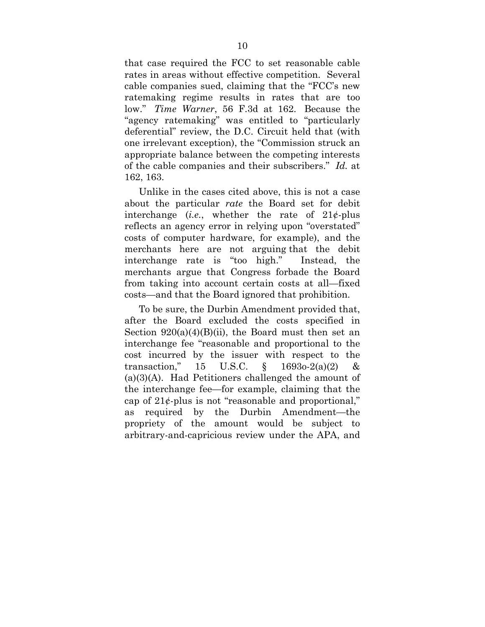that case required the FCC to set reasonable cable rates in areas without effective competition. Several cable companies sued, claiming that the "FCC's new ratemaking regime results in rates that are too low." *Time Warner*, 56 F.3d at 162. Because the "agency ratemaking" was entitled to "particularly deferential" review, the D.C. Circuit held that (with one irrelevant exception), the "Commission struck an appropriate balance between the competing interests of the cable companies and their subscribers." *Id.* at 162, 163.

Unlike in the cases cited above, this is not a case about the particular *rate* the Board set for debit interchange (*i.e.*, whether the rate of 21¢-plus reflects an agency error in relying upon "overstated" costs of computer hardware, for example), and the merchants here are not arguing that the debit interchange rate is "too high." Instead, the merchants argue that Congress forbade the Board from taking into account certain costs at all—fixed costs—and that the Board ignored that prohibition.

To be sure, the Durbin Amendment provided that, after the Board excluded the costs specified in Section  $920(a)(4)(B)(ii)$ , the Board must then set an interchange fee "reasonable and proportional to the cost incurred by the issuer with respect to the transaction," 15 U.S.C. § 1693o-2(a)(2) & (a)(3)(A). Had Petitioners challenged the amount of the interchange fee—for example, claiming that the cap of  $21\psi$ -plus is not "reasonable and proportional," as required by the Durbin Amendment—the propriety of the amount would be subject to arbitrary-and-capricious review under the APA, and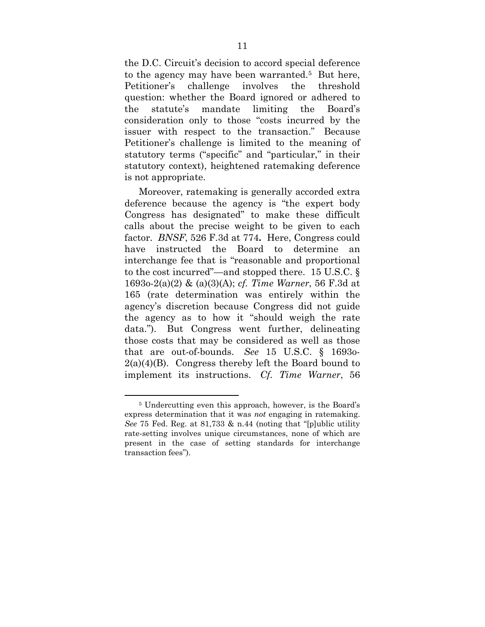the D.C. Circuit's decision to accord special deference to the agency may have been warranted.5 But here, Petitioner's challenge involves the threshold question: whether the Board ignored or adhered to the statute's mandate limiting the Board's consideration only to those "costs incurred by the issuer with respect to the transaction." Because Petitioner's challenge is limited to the meaning of statutory terms ("specific" and "particular," in their statutory context), heightened ratemaking deference is not appropriate.

Moreover, ratemaking is generally accorded extra deference because the agency is "the expert body Congress has designated" to make these difficult calls about the precise weight to be given to each factor. *BNSF*, 526 F.3d at 774**.** Here, Congress could have instructed the Board to determine an interchange fee that is "reasonable and proportional to the cost incurred"—and stopped there. 15 U.S.C. § 1693o-2(a)(2) & (a)(3)(A); *cf. Time Warner*, 56 F.3d at 165 (rate determination was entirely within the agency's discretion because Congress did not guide the agency as to how it "should weigh the rate data."). But Congress went further, delineating those costs that may be considered as well as those that are out-of-bounds. *See* 15 U.S.C. § 1693o- $2(a)(4)(B)$ . Congress thereby left the Board bound to implement its instructions. *Cf. Time Warner*, 56

<sup>5</sup> Undercutting even this approach, however, is the Board's express determination that it was *not* engaging in ratemaking. *See* 75 Fed. Reg. at 81,733 & n.44 (noting that "[p]ublic utility rate-setting involves unique circumstances, none of which are present in the case of setting standards for interchange transaction fees").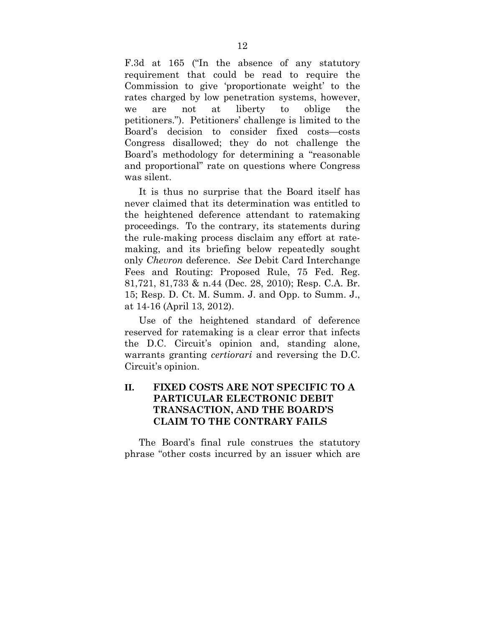F.3d at 165 ("In the absence of any statutory requirement that could be read to require the Commission to give 'proportionate weight' to the rates charged by low penetration systems, however, we are not at liberty to oblige the petitioners."). Petitioners' challenge is limited to the Board's decision to consider fixed costs—costs Congress disallowed; they do not challenge the Board's methodology for determining a "reasonable and proportional" rate on questions where Congress was silent.

It is thus no surprise that the Board itself has never claimed that its determination was entitled to the heightened deference attendant to ratemaking proceedings. To the contrary, its statements during the rule-making process disclaim any effort at ratemaking, and its briefing below repeatedly sought only *Chevron* deference. *See* Debit Card Interchange Fees and Routing: Proposed Rule, 75 Fed. Reg. 81,721, 81,733 & n.44 (Dec. 28, 2010); Resp. C.A. Br. 15; Resp. D. Ct. M. Summ. J. and Opp. to Summ. J., at 14-16 (April 13, 2012).

Use of the heightened standard of deference reserved for ratemaking is a clear error that infects the D.C. Circuit's opinion and, standing alone, warrants granting *certiorari* and reversing the D.C. Circuit's opinion.

### **II. FIXED COSTS ARE NOT SPECIFIC TO A PARTICULAR ELECTRONIC DEBIT TRANSACTION, AND THE BOARD'S CLAIM TO THE CONTRARY FAILS**

The Board's final rule construes the statutory phrase ''other costs incurred by an issuer which are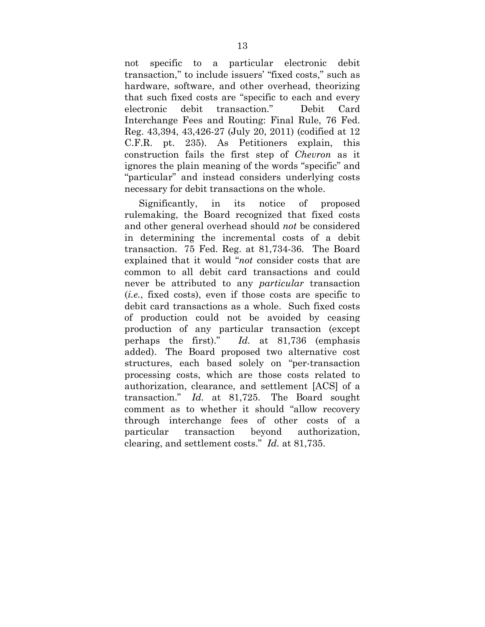not specific to a particular electronic debit transaction,'' to include issuers' "fixed costs," such as hardware, software, and other overhead, theorizing that such fixed costs are "specific to each and every electronic debit transaction." Debit Card Interchange Fees and Routing: Final Rule, 76 Fed. Reg. 43,394, 43,426-27 (July 20, 2011) (codified at 12 C.F.R. pt. 235). As Petitioners explain, this construction fails the first step of *Chevron* as it ignores the plain meaning of the words "specific" and "particular" and instead considers underlying costs necessary for debit transactions on the whole.

Significantly, in its notice of proposed rulemaking, the Board recognized that fixed costs and other general overhead should *not* be considered in determining the incremental costs of a debit transaction. 75 Fed. Reg. at 81,734-36. The Board explained that it would "*not* consider costs that are common to all debit card transactions and could never be attributed to any *particular* transaction (*i.e.*, fixed costs), even if those costs are specific to debit card transactions as a whole. Such fixed costs of production could not be avoided by ceasing production of any particular transaction (except perhaps the first)." *Id.* at 81,736 (emphasis added). The Board proposed two alternative cost structures, each based solely on "per-transaction processing costs, which are those costs related to authorization, clearance, and settlement [ACS] of a transaction." *Id.* at 81,725. The Board sought comment as to whether it should "allow recovery through interchange fees of other costs of a particular transaction beyond authorization, clearing, and settlement costs." *Id.* at 81,735.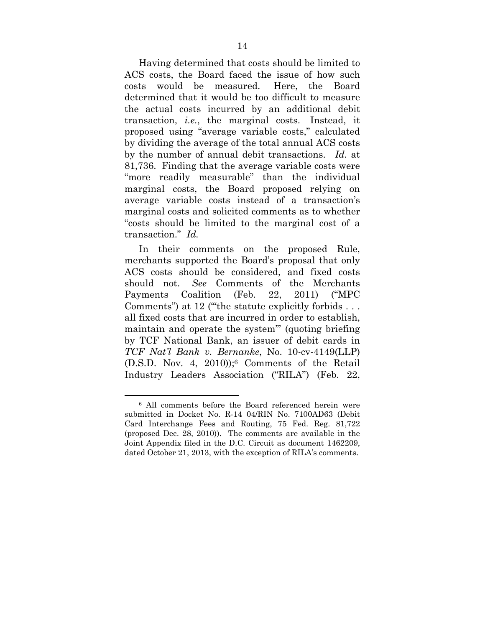Having determined that costs should be limited to ACS costs, the Board faced the issue of how such costs would be measured. Here, the Board determined that it would be too difficult to measure the actual costs incurred by an additional debit transaction, *i.e.*, the marginal costs. Instead, it proposed using "average variable costs," calculated by dividing the average of the total annual ACS costs by the number of annual debit transactions. *Id.* at 81,736. Finding that the average variable costs were "more readily measurable" than the individual marginal costs, the Board proposed relying on average variable costs instead of a transaction's marginal costs and solicited comments as to whether "costs should be limited to the marginal cost of a transaction." *Id.*

In their comments on the proposed Rule, merchants supported the Board's proposal that only ACS costs should be considered, and fixed costs should not. *See* Comments of the Merchants Payments Coalition (Feb. 22, 2011) ("MPC Comments") at 12 ("'the statute explicitly forbids . . . all fixed costs that are incurred in order to establish, maintain and operate the system'" (quoting briefing by TCF National Bank, an issuer of debit cards in *TCF Nat'l Bank v. Bernanke*, No. 10-cv-4149(LLP)  $(D.S.D. Nov. 4, 2010)$ ;<sup>6</sup> Comments of the Retail Industry Leaders Association ("RILA") (Feb. 22,

<sup>6</sup> All comments before the Board referenced herein were submitted in Docket No. R-14 04/RIN No. 7100AD63 (Debit Card Interchange Fees and Routing, 75 Fed. Reg. 81,722 (proposed Dec. 28, 2010)). The comments are available in the Joint Appendix filed in the D.C. Circuit as document 1462209, dated October 21, 2013, with the exception of RILA's comments.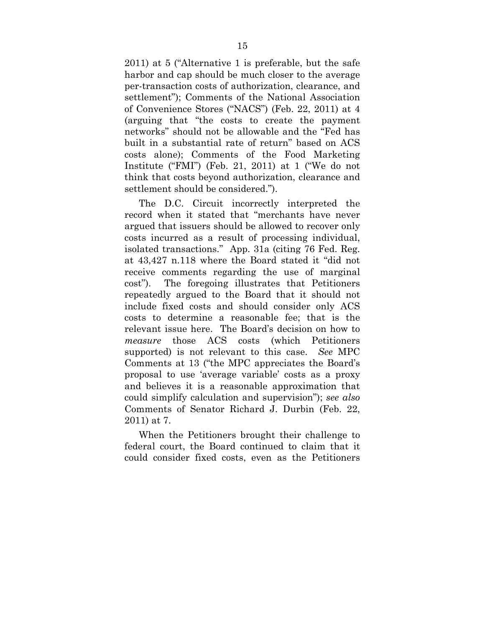2011) at 5 ("Alternative 1 is preferable, but the safe harbor and cap should be much closer to the average per-transaction costs of authorization, clearance, and settlement"); Comments of the National Association of Convenience Stores ("NACS") (Feb. 22, 2011) at 4 (arguing that "the costs to create the payment networks" should not be allowable and the "Fed has built in a substantial rate of return" based on ACS costs alone); Comments of the Food Marketing Institute ("FMI") (Feb. 21, 2011) at 1 ("We do not think that costs beyond authorization, clearance and settlement should be considered.").

The D.C. Circuit incorrectly interpreted the record when it stated that "merchants have never argued that issuers should be allowed to recover only costs incurred as a result of processing individual, isolated transactions." App. 31a (citing 76 Fed. Reg. at 43,427 n.118 where the Board stated it "did not receive comments regarding the use of marginal cost"). The foregoing illustrates that Petitioners repeatedly argued to the Board that it should not include fixed costs and should consider only ACS costs to determine a reasonable fee; that is the relevant issue here. The Board's decision on how to *measure* those ACS costs (which Petitioners supported) is not relevant to this case. *See* MPC Comments at 13 ("the MPC appreciates the Board's proposal to use 'average variable' costs as a proxy and believes it is a reasonable approximation that could simplify calculation and supervision"); *see also* Comments of Senator Richard J. Durbin (Feb. 22, 2011) at 7.

When the Petitioners brought their challenge to federal court, the Board continued to claim that it could consider fixed costs, even as the Petitioners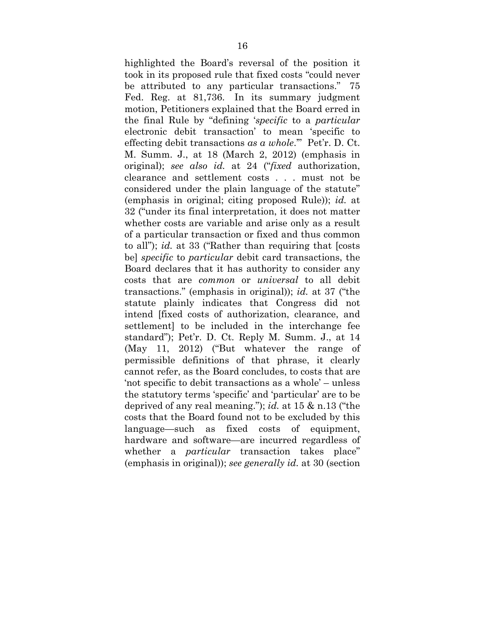highlighted the Board's reversal of the position it took in its proposed rule that fixed costs "could never be attributed to any particular transactions." 75 Fed. Reg. at 81,736. In its summary judgment motion, Petitioners explained that the Board erred in the final Rule by "defining '*specific* to a *particular*  electronic debit transaction' to mean 'specific to effecting debit transactions *as a whole*.'" Pet'r. D. Ct. M. Summ. J., at 18 (March 2, 2012) (emphasis in original); *see also id.* at 24 ("*fixed* authorization, clearance and settlement costs . . . must not be considered under the plain language of the statute" (emphasis in original; citing proposed Rule)); *id.* at 32 ("under its final interpretation, it does not matter whether costs are variable and arise only as a result of a particular transaction or fixed and thus common to all"); *id.* at 33 ("Rather than requiring that [costs be] *specific* to *particular* debit card transactions, the Board declares that it has authority to consider any costs that are *common* or *universal* to all debit transactions." (emphasis in original)); *id.* at 37 ("the statute plainly indicates that Congress did not intend [fixed costs of authorization, clearance, and settlement] to be included in the interchange fee standard"); Pet'r. D. Ct. Reply M. Summ. J., at 14 (May 11, 2012) ("But whatever the range of permissible definitions of that phrase, it clearly cannot refer, as the Board concludes, to costs that are 'not specific to debit transactions as a whole' – unless the statutory terms 'specific' and 'particular' are to be deprived of any real meaning."); *id.* at 15 & n.13 ("the costs that the Board found not to be excluded by this language—such as fixed costs of equipment, hardware and software—are incurred regardless of whether a *particular* transaction takes place" (emphasis in original)); *see generally id.* at 30 (section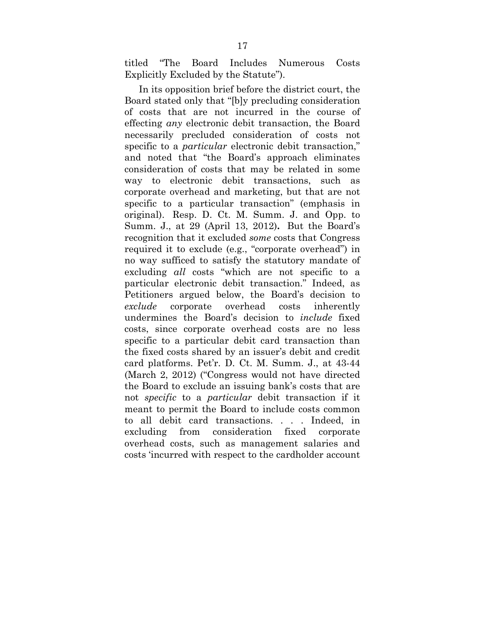titled "The Board Includes Numerous Costs Explicitly Excluded by the Statute").

In its opposition brief before the district court, the Board stated only that "[b]y precluding consideration of costs that are not incurred in the course of effecting *any* electronic debit transaction, the Board necessarily precluded consideration of costs not specific to a *particular* electronic debit transaction," and noted that "the Board's approach eliminates consideration of costs that may be related in some way to electronic debit transactions, such as corporate overhead and marketing, but that are not specific to a particular transaction" (emphasis in original). Resp. D. Ct. M. Summ. J. and Opp. to Summ. J., at 29 (April 13, 2012)**.** But the Board's recognition that it excluded *some* costs that Congress required it to exclude (e.g., "corporate overhead") in no way sufficed to satisfy the statutory mandate of excluding *all* costs "which are not specific to a particular electronic debit transaction." Indeed, as Petitioners argued below, the Board's decision to *exclude* corporate overhead costs inherently undermines the Board's decision to *include* fixed costs, since corporate overhead costs are no less specific to a particular debit card transaction than the fixed costs shared by an issuer's debit and credit card platforms. Pet'r. D. Ct. M. Summ. J., at 43-44 (March 2, 2012) ("Congress would not have directed the Board to exclude an issuing bank's costs that are not *specific* to a *particular* debit transaction if it meant to permit the Board to include costs common to all debit card transactions. . . . Indeed, in excluding from consideration fixed corporate overhead costs, such as management salaries and costs 'incurred with respect to the cardholder account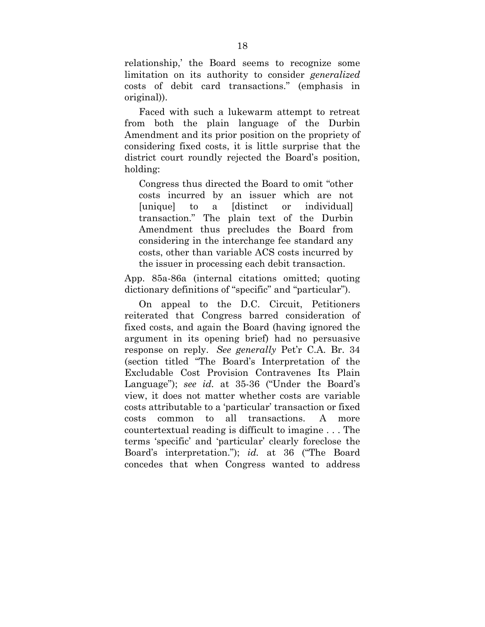relationship,' the Board seems to recognize some limitation on its authority to consider *generalized*  costs of debit card transactions." (emphasis in original)).

Faced with such a lukewarm attempt to retreat from both the plain language of the Durbin Amendment and its prior position on the propriety of considering fixed costs, it is little surprise that the district court roundly rejected the Board's position, holding:

Congress thus directed the Board to omit "other costs incurred by an issuer which are not [unique] to a [distinct or individual] transaction." The plain text of the Durbin Amendment thus precludes the Board from considering in the interchange fee standard any costs, other than variable ACS costs incurred by the issuer in processing each debit transaction.

App. 85a-86a (internal citations omitted; quoting dictionary definitions of "specific" and "particular").

On appeal to the D.C. Circuit, Petitioners reiterated that Congress barred consideration of fixed costs, and again the Board (having ignored the argument in its opening brief) had no persuasive response on reply. *See generally* Pet'r C.A. Br. 34 (section titled "The Board's Interpretation of the Excludable Cost Provision Contravenes Its Plain Language"); *see id.* at 35-36 ("Under the Board's view, it does not matter whether costs are variable costs attributable to a 'particular' transaction or fixed costs common to all transactions. A more countertextual reading is difficult to imagine . . . The terms 'specific' and 'particular' clearly foreclose the Board's interpretation."); *id.* at 36 ("The Board concedes that when Congress wanted to address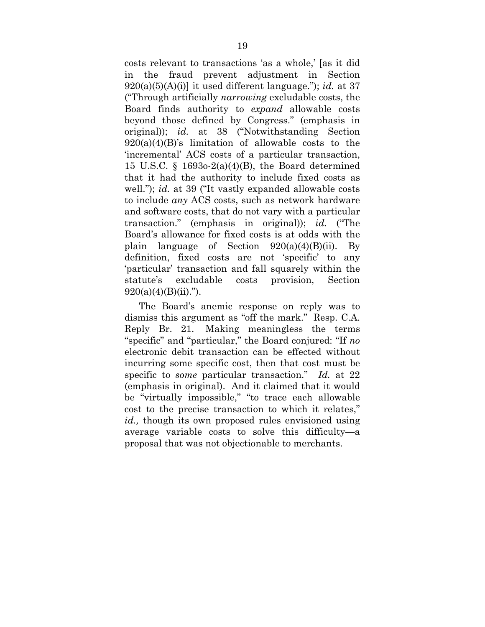costs relevant to transactions 'as a whole,' [as it did in the fraud prevent adjustment in Section 920(a)(5)(A)(i)] it used different language."); *id.* at 37 ("Through artificially *narrowing* excludable costs, the Board finds authority to *expand* allowable costs beyond those defined by Congress." (emphasis in original)); *id.* at 38 ("Notwithstanding Section  $920(a)(4)(B)$ 's limitation of allowable costs to the 'incremental' ACS costs of a particular transaction, 15 U.S.C. § 1693o-2(a)(4)(B), the Board determined that it had the authority to include fixed costs as well."); *id.* at 39 ("It vastly expanded allowable costs to include *any* ACS costs, such as network hardware and software costs, that do not vary with a particular transaction." (emphasis in original)); *id.* ("The Board's allowance for fixed costs is at odds with the plain language of Section  $920(a)(4)(B)(ii)$ . By definition, fixed costs are not 'specific' to any 'particular' transaction and fall squarely within the statute's excludable costs provision, Section  $920(a)(4)(B)(ii).$ ").

The Board's anemic response on reply was to dismiss this argument as "off the mark." Resp. C.A. Reply Br. 21. Making meaningless the terms "specific" and "particular," the Board conjured: "If *no*  electronic debit transaction can be effected without incurring some specific cost, then that cost must be specific to *some* particular transaction." *Id.* at 22 (emphasis in original). And it claimed that it would be "virtually impossible," "to trace each allowable cost to the precise transaction to which it relates," *id.,* though its own proposed rules envisioned using average variable costs to solve this difficulty—a proposal that was not objectionable to merchants.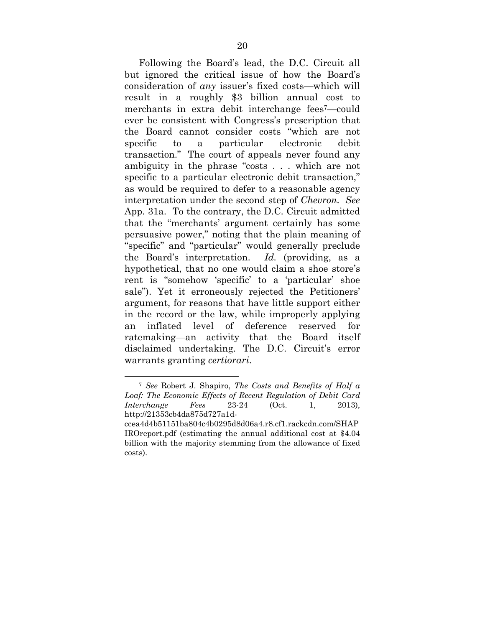Following the Board's lead, the D.C. Circuit all but ignored the critical issue of how the Board's consideration of *any* issuer's fixed costs—which will result in a roughly \$3 billion annual cost to merchants in extra debit interchange fees7—could ever be consistent with Congress's prescription that the Board cannot consider costs "which are not specific to a particular electronic debit transaction." The court of appeals never found any ambiguity in the phrase "costs . . . which are not specific to a particular electronic debit transaction," as would be required to defer to a reasonable agency interpretation under the second step of *Chevron. See*  App. 31a. To the contrary, the D.C. Circuit admitted that the "merchants' argument certainly has some persuasive power," noting that the plain meaning of "specific" and "particular" would generally preclude the Board's interpretation. *Id.* (providing, as a hypothetical, that no one would claim a shoe store's rent is "somehow 'specific' to a 'particular' shoe sale"). Yet it erroneously rejected the Petitioners' argument, for reasons that have little support either in the record or the law, while improperly applying an inflated level of deference reserved for ratemaking—an activity that the Board itself disclaimed undertaking. The D.C. Circuit's error warrants granting *certiorari*.

<sup>7</sup> *See* Robert J. Shapiro, *The Costs and Benefits of Half a Loaf: The Economic Effects of Recent Regulation of Debit Card Interchange Fees* 23-24 (Oct. 1, 2013), http://21353cb4da875d727a1d-

ccea4d4b51151ba804c4b0295d8d06a4.r8.cf1.rackcdn.com/SHAP IROreport.pdf (estimating the annual additional cost at \$4.04 billion with the majority stemming from the allowance of fixed costs).